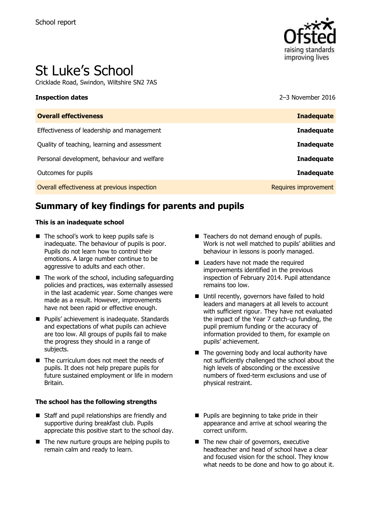

# St Luke's School

Cricklade Road, Swindon, Wiltshire SN2 7AS

### **Inspection dates** 2016

| <b>Overall effectiveness</b>                 | <b>Inadequate</b>    |
|----------------------------------------------|----------------------|
| Effectiveness of leadership and management   | <b>Inadequate</b>    |
| Quality of teaching, learning and assessment | <b>Inadequate</b>    |
| Personal development, behaviour and welfare  | <b>Inadequate</b>    |
| Outcomes for pupils                          | <b>Inadequate</b>    |
| Overall effectiveness at previous inspection | Requires improvement |

# **Summary of key findings for parents and pupils**

### **This is an inadequate school**

- The school's work to keep pupils safe is inadequate. The behaviour of pupils is poor. Pupils do not learn how to control their emotions. A large number continue to be aggressive to adults and each other.
- $\blacksquare$  The work of the school, including safeguarding policies and practices, was externally assessed in the last academic year. Some changes were made as a result. However, improvements have not been rapid or effective enough.
- Pupils' achievement is inadequate. Standards and expectations of what pupils can achieve are too low. All groups of pupils fail to make the progress they should in a range of subjects.
- The curriculum does not meet the needs of pupils. It does not help prepare pupils for future sustained employment or life in modern Britain.

### **The school has the following strengths**

- Staff and pupil relationships are friendly and supportive during breakfast club. Pupils appreciate this positive start to the school day.
- $\blacksquare$  The new nurture groups are helping pupils to remain calm and ready to learn.
- Teachers do not demand enough of pupils. Work is not well matched to pupils' abilities and behaviour in lessons is poorly managed.
- Leaders have not made the required improvements identified in the previous inspection of February 2014. Pupil attendance remains too low.
- Until recently, governors have failed to hold leaders and managers at all levels to account with sufficient rigour. They have not evaluated the impact of the Year 7 catch-up funding, the pupil premium funding or the accuracy of information provided to them, for example on pupils' achievement.
- $\blacksquare$  The governing body and local authority have not sufficiently challenged the school about the high levels of absconding or the excessive numbers of fixed-term exclusions and use of physical restraint.
- **Pupils are beginning to take pride in their** appearance and arrive at school wearing the correct uniform.
- The new chair of governors, executive headteacher and head of school have a clear and focused vision for the school. They know what needs to be done and how to go about it.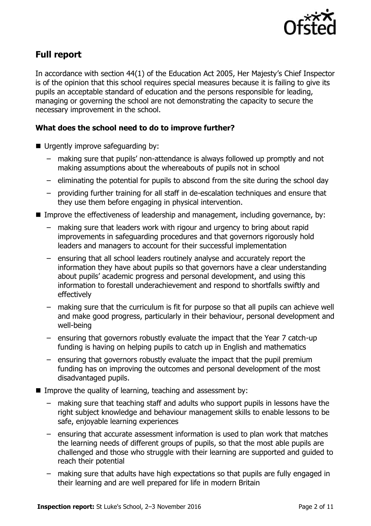

# **Full report**

In accordance with section 44(1) of the Education Act 2005, Her Majesty's Chief Inspector is of the opinion that this school requires special measures because it is failing to give its pupils an acceptable standard of education and the persons responsible for leading, managing or governing the school are not demonstrating the capacity to secure the necessary improvement in the school.

### **What does the school need to do to improve further?**

- Urgently improve safeguarding by:
	- making sure that pupils' non-attendance is always followed up promptly and not making assumptions about the whereabouts of pupils not in school
	- eliminating the potential for pupils to abscond from the site during the school day
	- providing further training for all staff in de-escalation techniques and ensure that they use them before engaging in physical intervention.
- Improve the effectiveness of leadership and management, including governance, by:
	- making sure that leaders work with rigour and urgency to bring about rapid improvements in safeguarding procedures and that governors rigorously hold leaders and managers to account for their successful implementation
	- ensuring that all school leaders routinely analyse and accurately report the information they have about pupils so that governors have a clear understanding about pupils' academic progress and personal development, and using this information to forestall underachievement and respond to shortfalls swiftly and effectively
	- making sure that the curriculum is fit for purpose so that all pupils can achieve well and make good progress, particularly in their behaviour, personal development and well-being
	- ensuring that governors robustly evaluate the impact that the Year 7 catch-up funding is having on helping pupils to catch up in English and mathematics
	- ensuring that governors robustly evaluate the impact that the pupil premium funding has on improving the outcomes and personal development of the most disadvantaged pupils.
- Improve the quality of learning, teaching and assessment by:
	- making sure that teaching staff and adults who support pupils in lessons have the right subject knowledge and behaviour management skills to enable lessons to be safe, enjoyable learning experiences
	- ensuring that accurate assessment information is used to plan work that matches the learning needs of different groups of pupils, so that the most able pupils are challenged and those who struggle with their learning are supported and guided to reach their potential
	- making sure that adults have high expectations so that pupils are fully engaged in their learning and are well prepared for life in modern Britain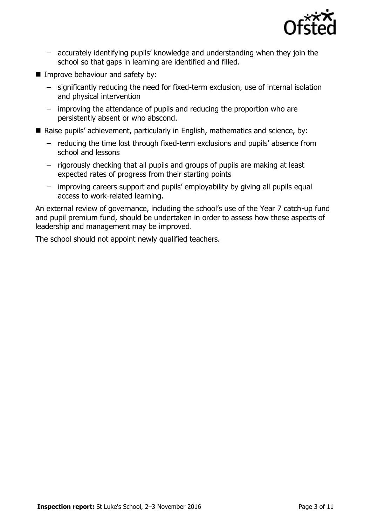

- accurately identifying pupils' knowledge and understanding when they join the school so that gaps in learning are identified and filled.
- **Improve behaviour and safety by:** 
	- significantly reducing the need for fixed-term exclusion, use of internal isolation and physical intervention
	- improving the attendance of pupils and reducing the proportion who are persistently absent or who abscond.
- Raise pupils' achievement, particularly in English, mathematics and science, by:
	- reducing the time lost through fixed-term exclusions and pupils' absence from school and lessons
	- rigorously checking that all pupils and groups of pupils are making at least expected rates of progress from their starting points
	- improving careers support and pupils' employability by giving all pupils equal access to work-related learning.

An external review of governance, including the school's use of the Year 7 catch-up fund and pupil premium fund, should be undertaken in order to assess how these aspects of leadership and management may be improved.

The school should not appoint newly qualified teachers.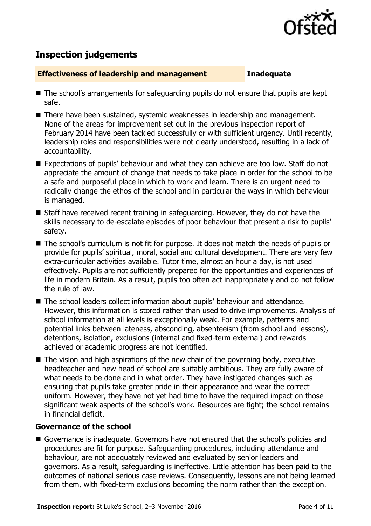

# **Inspection judgements**

### **Effectiveness of leadership and management Inadequate**

- The school's arrangements for safeguarding pupils do not ensure that pupils are kept safe.
- There have been sustained, systemic weaknesses in leadership and management. None of the areas for improvement set out in the previous inspection report of February 2014 have been tackled successfully or with sufficient urgency. Until recently, leadership roles and responsibilities were not clearly understood, resulting in a lack of accountability.
- Expectations of pupils' behaviour and what they can achieve are too low. Staff do not appreciate the amount of change that needs to take place in order for the school to be a safe and purposeful place in which to work and learn. There is an urgent need to radically change the ethos of the school and in particular the ways in which behaviour is managed.
- Staff have received recent training in safeguarding. However, they do not have the skills necessary to de-escalate episodes of poor behaviour that present a risk to pupils' safety.
- The school's curriculum is not fit for purpose. It does not match the needs of pupils or provide for pupils' spiritual, moral, social and cultural development. There are very few extra-curricular activities available. Tutor time, almost an hour a day, is not used effectively. Pupils are not sufficiently prepared for the opportunities and experiences of life in modern Britain. As a result, pupils too often act inappropriately and do not follow the rule of law.
- The school leaders collect information about pupils' behaviour and attendance. However, this information is stored rather than used to drive improvements. Analysis of school information at all levels is exceptionally weak. For example, patterns and potential links between lateness, absconding, absenteeism (from school and lessons), detentions, isolation, exclusions (internal and fixed-term external) and rewards achieved or academic progress are not identified.
- $\blacksquare$  The vision and high aspirations of the new chair of the governing body, executive headteacher and new head of school are suitably ambitious. They are fully aware of what needs to be done and in what order. They have instigated changes such as ensuring that pupils take greater pride in their appearance and wear the correct uniform. However, they have not yet had time to have the required impact on those significant weak aspects of the school's work. Resources are tight; the school remains in financial deficit.

### **Governance of the school**

Governance is inadequate. Governors have not ensured that the school's policies and procedures are fit for purpose. Safeguarding procedures, including attendance and behaviour, are not adequately reviewed and evaluated by senior leaders and governors. As a result, safeguarding is ineffective. Little attention has been paid to the outcomes of national serious case reviews. Consequently, lessons are not being learned from them, with fixed-term exclusions becoming the norm rather than the exception.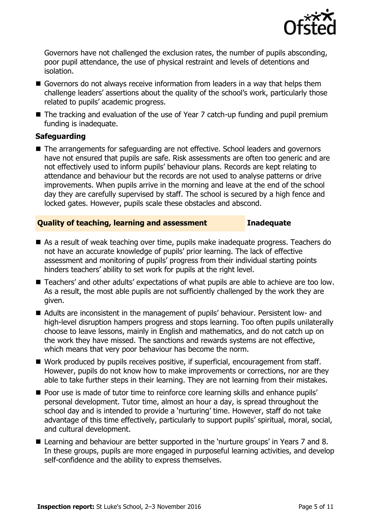

Governors have not challenged the exclusion rates, the number of pupils absconding, poor pupil attendance, the use of physical restraint and levels of detentions and isolation.

- Governors do not always receive information from leaders in a way that helps them challenge leaders' assertions about the quality of the school's work, particularly those related to pupils' academic progress.
- The tracking and evaluation of the use of Year 7 catch-up funding and pupil premium funding is inadequate.

### **Safeguarding**

■ The arrangements for safeguarding are not effective. School leaders and governors have not ensured that pupils are safe. Risk assessments are often too generic and are not effectively used to inform pupils' behaviour plans. Records are kept relating to attendance and behaviour but the records are not used to analyse patterns or drive improvements. When pupils arrive in the morning and leave at the end of the school day they are carefully supervised by staff. The school is secured by a high fence and locked gates. However, pupils scale these obstacles and abscond.

### **Quality of teaching, learning and assessment Inadequate**

- As a result of weak teaching over time, pupils make inadequate progress. Teachers do not have an accurate knowledge of pupils' prior learning. The lack of effective assessment and monitoring of pupils' progress from their individual starting points hinders teachers' ability to set work for pupils at the right level.
- Teachers' and other adults' expectations of what pupils are able to achieve are too low. As a result, the most able pupils are not sufficiently challenged by the work they are given.
- Adults are inconsistent in the management of pupils' behaviour. Persistent low- and high-level disruption hampers progress and stops learning. Too often pupils unilaterally choose to leave lessons, mainly in English and mathematics, and do not catch up on the work they have missed. The sanctions and rewards systems are not effective, which means that very poor behaviour has become the norm.
- Work produced by pupils receives positive, if superficial, encouragement from staff. However, pupils do not know how to make improvements or corrections, nor are they able to take further steps in their learning. They are not learning from their mistakes.
- Poor use is made of tutor time to reinforce core learning skills and enhance pupils' personal development. Tutor time, almost an hour a day, is spread throughout the school day and is intended to provide a 'nurturing' time. However, staff do not take advantage of this time effectively, particularly to support pupils' spiritual, moral, social, and cultural development.
- Learning and behaviour are better supported in the 'nurture groups' in Years 7 and 8. In these groups, pupils are more engaged in purposeful learning activities, and develop self-confidence and the ability to express themselves.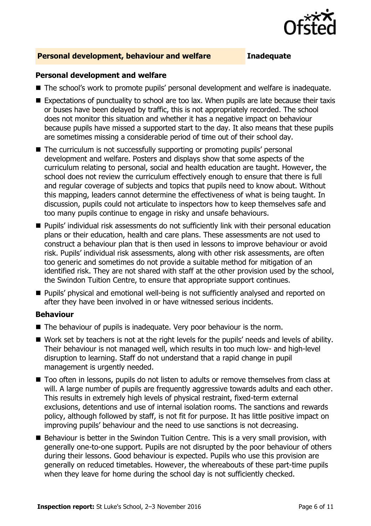

### **Personal development, behaviour and welfare Inadequate**

### **Personal development and welfare**

- The school's work to promote pupils' personal development and welfare is inadequate.
- Expectations of punctuality to school are too lax. When pupils are late because their taxis or buses have been delayed by traffic, this is not appropriately recorded. The school does not monitor this situation and whether it has a negative impact on behaviour because pupils have missed a supported start to the day. It also means that these pupils are sometimes missing a considerable period of time out of their school day.
- The curriculum is not successfully supporting or promoting pupils' personal development and welfare. Posters and displays show that some aspects of the curriculum relating to personal, social and health education are taught. However, the school does not review the curriculum effectively enough to ensure that there is full and regular coverage of subjects and topics that pupils need to know about. Without this mapping, leaders cannot determine the effectiveness of what is being taught. In discussion, pupils could not articulate to inspectors how to keep themselves safe and too many pupils continue to engage in risky and unsafe behaviours.
- **Pupils' individual risk assessments do not sufficiently link with their personal education** plans or their education, health and care plans. These assessments are not used to construct a behaviour plan that is then used in lessons to improve behaviour or avoid risk. Pupils' individual risk assessments, along with other risk assessments, are often too generic and sometimes do not provide a suitable method for mitigation of an identified risk. They are not shared with staff at the other provision used by the school, the Swindon Tuition Centre, to ensure that appropriate support continues.
- **Pupils'** physical and emotional well-being is not sufficiently analysed and reported on after they have been involved in or have witnessed serious incidents.

### **Behaviour**

- The behaviour of pupils is inadequate. Very poor behaviour is the norm.
- Work set by teachers is not at the right levels for the pupils' needs and levels of ability. Their behaviour is not managed well, which results in too much low- and high-level disruption to learning. Staff do not understand that a rapid change in pupil management is urgently needed.
- Too often in lessons, pupils do not listen to adults or remove themselves from class at will. A large number of pupils are frequently aggressive towards adults and each other. This results in extremely high levels of physical restraint, fixed-term external exclusions, detentions and use of internal isolation rooms. The sanctions and rewards policy, although followed by staff, is not fit for purpose. It has little positive impact on improving pupils' behaviour and the need to use sanctions is not decreasing.
- Behaviour is better in the Swindon Tuition Centre. This is a very small provision, with generally one-to-one support. Pupils are not disrupted by the poor behaviour of others during their lessons. Good behaviour is expected. Pupils who use this provision are generally on reduced timetables. However, the whereabouts of these part-time pupils when they leave for home during the school day is not sufficiently checked.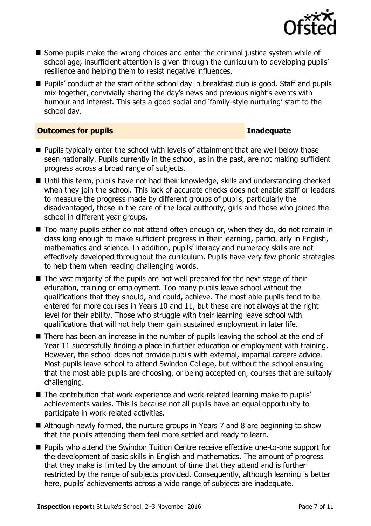

- Some pupils make the wrong choices and enter the criminal justice system while of school age; insufficient attention is given through the curriculum to developing pupils' resilience and helping them to resist negative influences.
- Pupils' conduct at the start of the school day in breakfast club is good. Staff and pupils mix together, convivially sharing the day's news and previous night's events with humour and interest. This sets a good social and 'family-style nurturing' start to the school day.

### **Outcomes for pupils Inadequate**

- **Pupils typically enter the school with levels of attainment that are well below those** seen nationally. Pupils currently in the school, as in the past, are not making sufficient progress across a broad range of subjects.
- Until this term, pupils have not had their knowledge, skills and understanding checked when they join the school. This lack of accurate checks does not enable staff or leaders to measure the progress made by different groups of pupils, particularly the disadvantaged, those in the care of the local authority, girls and those who joined the school in different year groups.
- Too many pupils either do not attend often enough or, when they do, do not remain in class long enough to make sufficient progress in their learning, particularly in English, mathematics and science. In addition, pupils' literacy and numeracy skills are not effectively developed throughout the curriculum. Pupils have very few phonic strategies to help them when reading challenging words.
- $\blacksquare$  The vast majority of the pupils are not well prepared for the next stage of their education, training or employment. Too many pupils leave school without the qualifications that they should, and could, achieve. The most able pupils tend to be entered for more courses in Years 10 and 11, but these are not always at the right level for their ability. Those who struggle with their learning leave school with qualifications that will not help them gain sustained employment in later life.
- There has been an increase in the number of pupils leaving the school at the end of Year 11 successfully finding a place in further education or employment with training. However, the school does not provide pupils with external, impartial careers advice. Most pupils leave school to attend Swindon College, but without the school ensuring that the most able pupils are choosing, or being accepted on, courses that are suitably challenging.
- The contribution that work experience and work-related learning make to pupils' achievements varies. This is because not all pupils have an equal opportunity to participate in work-related activities.
- Although newly formed, the nurture groups in Years 7 and 8 are beginning to show that the pupils attending them feel more settled and ready to learn.
- Pupils who attend the Swindon Tuition Centre receive effective one-to-one support for the development of basic skills in English and mathematics. The amount of progress that they make is limited by the amount of time that they attend and is further restricted by the range of subjects provided. Consequently, although learning is better here, pupils' achievements across a wide range of subjects are inadequate.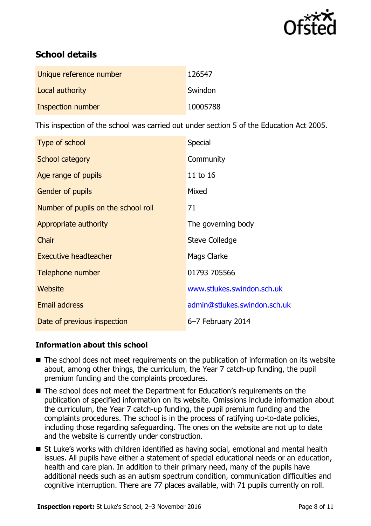

# **School details**

| Unique reference number | 126547   |
|-------------------------|----------|
| Local authority         | Swindon  |
| Inspection number       | 10005788 |

This inspection of the school was carried out under section 5 of the Education Act 2005.

| Type of school                      | <b>Special</b>               |
|-------------------------------------|------------------------------|
| School category                     | Community                    |
| Age range of pupils                 | 11 to 16                     |
| Gender of pupils                    | Mixed                        |
| Number of pupils on the school roll | 71                           |
| Appropriate authority               | The governing body           |
| Chair                               | <b>Steve Colledge</b>        |
| <b>Executive headteacher</b>        | Mags Clarke                  |
| Telephone number                    | 01793 705566                 |
| Website                             | www.stlukes.swindon.sch.uk   |
| <b>Email address</b>                | admin@stlukes.swindon.sch.uk |
| Date of previous inspection         | 6-7 February 2014            |

### **Information about this school**

- The school does not meet requirements on the publication of information on its website about, among other things, the curriculum, the Year 7 catch-up funding, the pupil premium funding and the complaints procedures.
- The school does not meet the Department for Education's requirements on the publication of specified information on its website. Omissions include information about the curriculum, the Year 7 catch-up funding, the pupil premium funding and the complaints procedures. The school is in the process of ratifying up-to-date policies, including those regarding safeguarding. The ones on the website are not up to date and the website is currently under construction.
- St Luke's works with children identified as having social, emotional and mental health issues. All pupils have either a statement of special educational needs or an education, health and care plan. In addition to their primary need, many of the pupils have additional needs such as an autism spectrum condition, communication difficulties and cognitive interruption. There are 77 places available, with 71 pupils currently on roll.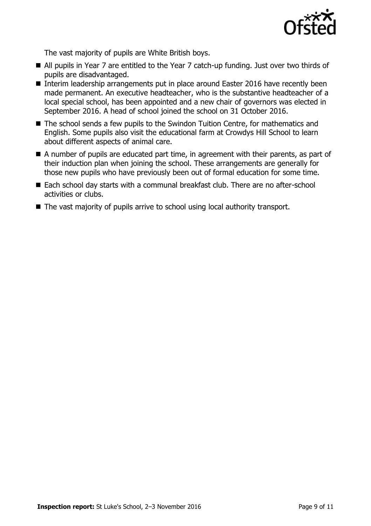

The vast majority of pupils are White British boys.

- All pupils in Year 7 are entitled to the Year 7 catch-up funding. Just over two thirds of pupils are disadvantaged.
- Interim leadership arrangements put in place around Easter 2016 have recently been made permanent. An executive headteacher, who is the substantive headteacher of a local special school, has been appointed and a new chair of governors was elected in September 2016. A head of school joined the school on 31 October 2016.
- The school sends a few pupils to the Swindon Tuition Centre, for mathematics and English. Some pupils also visit the educational farm at Crowdys Hill School to learn about different aspects of animal care.
- A number of pupils are educated part time, in agreement with their parents, as part of their induction plan when joining the school. These arrangements are generally for those new pupils who have previously been out of formal education for some time.
- Each school day starts with a communal breakfast club. There are no after-school activities or clubs.
- The vast majority of pupils arrive to school using local authority transport.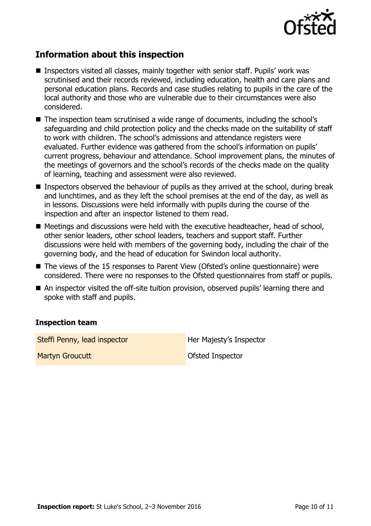

# **Information about this inspection**

- Inspectors visited all classes, mainly together with senior staff. Pupils' work was scrutinised and their records reviewed, including education, health and care plans and personal education plans. Records and case studies relating to pupils in the care of the local authority and those who are vulnerable due to their circumstances were also considered.
- The inspection team scrutinised a wide range of documents, including the school's safeguarding and child protection policy and the checks made on the suitability of staff to work with children. The school's admissions and attendance registers were evaluated. Further evidence was gathered from the school's information on pupils' current progress, behaviour and attendance. School improvement plans, the minutes of the meetings of governors and the school's records of the checks made on the quality of learning, teaching and assessment were also reviewed.
- Inspectors observed the behaviour of pupils as they arrived at the school, during break and lunchtimes, and as they left the school premises at the end of the day, as well as in lessons. Discussions were held informally with pupils during the course of the inspection and after an inspector listened to them read.
- Meetings and discussions were held with the executive headteacher, head of school, other senior leaders, other school leaders, teachers and support staff. Further discussions were held with members of the governing body, including the chair of the governing body, and the head of education for Swindon local authority.
- The views of the 15 responses to Parent View (Ofsted's online questionnaire) were considered. There were no responses to the Ofsted questionnaires from staff or pupils.
- An inspector visited the off-site tuition provision, observed pupils' learning there and spoke with staff and pupils.

### **Inspection team**

Steffi Penny, lead inspector **Her Majesty's Inspector** 

**Martyn Groucutt** Martyn Groucutt **Ofsted Inspector**